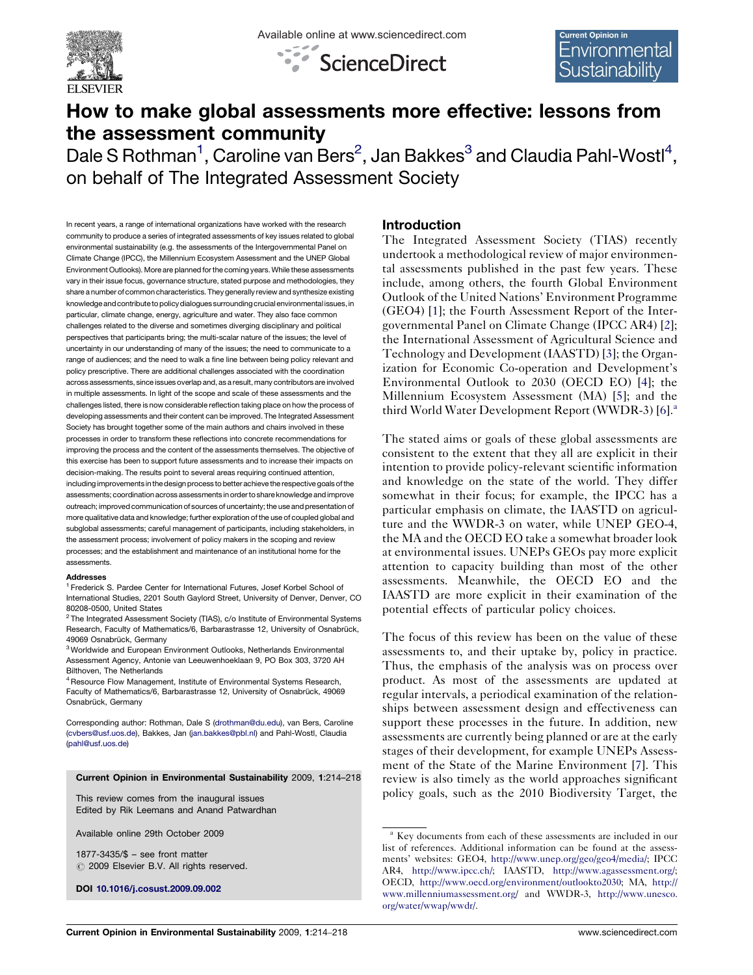





# How to make global assessments more effective: lessons from the assessment community

Dale S Rothman<sup>1</sup>, Caroline van Bers<sup>2</sup>, Jan Bakkes<sup>3</sup> and Claudia Pahl-Wostl<sup>4</sup>, on behalf of The Integrated Assessment Society

In recent years, a range of international organizations have worked with the research community to produce a series of integrated assessments of key issues related to global environmental sustainability (e.g. the assessments of the Intergovernmental Panel on Climate Change (IPCC), the Millennium Ecosystem Assessment and the UNEP Global Environment Outlooks). More are planned for the coming years.While these assessments vary in their issue focus, governance structure, stated purpose and methodologies, they share a number of common characteristics. They generally review and synthesize existing knowledge and contribute to policy dialogues surrounding crucial environmental issues, in particular, climate change, energy, agriculture and water. They also face common challenges related to the diverse and sometimes diverging disciplinary and political perspectives that participants bring; the multi-scalar nature of the issues; the level of uncertainty in our understanding of many of the issues; the need to communicate to a range of audiences; and the need to walk a fine line between being policy relevant and policy prescriptive. There are additional challenges associated with the coordination across assessments, since issues overlap and, as a result, many contributors are involved in multiple assessments. In light of the scope and scale of these assessments and the challenges listed, there is now considerable reflection taking place on how the process of developing assessments and their content can be improved. The Integrated Assessment Society has brought together some of the main authors and chairs involved in these processes in order to transform these reflections into concrete recommendations for improving the process and the content of the assessments themselves. The objective of this exercise has been to support future assessments and to increase their impacts on decision-making. The results point to several areas requiring continued attention, including improvements in the design process to better achieve the respective goals of the assessments; coordination across assessments in order to share knowledge and improve outreach; improved communication of sources of uncertainty; the use and presentation of more qualitative data and knowledge; further exploration of the use of coupled global and subglobal assessments; careful management of participants, including stakeholders, in the assessment process; involvement of policy makers in the scoping and review processes; and the establishment and maintenance of an institutional home for the assessments.

#### **Addresses**

<sup>1</sup> Frederick S. Pardee Center for International Futures, Josef Korbel School of International Studies, 2201 South Gaylord Street, University of Denver, Denver, CO 80208-0500, United States

<sup>2</sup> The Integrated Assessment Society (TIAS), c/o Institute of Environmental Systems Research, Faculty of Mathematics/6, Barbarastrasse 12, University of Osnabrück, 49069 Osnabrück, Germany

3Worldwide and European Environment Outlooks, Netherlands Environmental Assessment Agency, Antonie van Leeuwenhoeklaan 9, PO Box 303, 3720 AH Bilthoven, The Netherlands

<sup>4</sup> Resource Flow Management, Institute of Environmental Systems Research, Faculty of Mathematics/6, Barbarastrasse 12, University of Osnabrück, 49069 Osnabrück, Germany

Corresponding author: Rothman, Dale S [\(drothman@du.edu](mailto:drothman@du.edu)), van Bers, Caroline ([cvbers@usf.uos.de](mailto:jan.bakkes@pbl.nl)), Bakkes, Jan ([jan.bakkes@pbl.nl\)](mailto:jan.bakkes@pbl.nl) and Pahl-Wostl, Claudia ([pahl@usf.uos.de](mailto:pahl@usf.uos.de))

#### Current Opinion in Environmental Sustainability 2009, 1:214–218

This review comes from the inaugural issues Edited by Rik Leemans and Anand Patwardhan

Available online 29th October 2009

1877-3435/\$ – see front matter  $\oslash$  2009 Elsevier B.V. All rights reserved.

DOI [10.1016/j.cosust.2009.09.002](http://dx.doi.org/10.1016/j.cosust.2009.09.002)

### Introduction

The Integrated Assessment Society (TIAS) recently undertook a methodological review of major environmental assessments published in the past few years. These include, among others, the fourth Global Environment Outlook of the United Nations' Environment Programme (GEO4) [[1\]](#page-3-0); the Fourth Assessment Report of the Intergovernmental Panel on Climate Change (IPCC AR4) [[2](#page-3-0)]; the International Assessment of Agricultural Science and Technology and Development (IAASTD) [\[3](#page-3-0)]; the Organization for Economic Co-operation and Development's Environmental Outlook to 2030 (OECD EO) [[4\]](#page-3-0); the Millennium Ecosystem Assessment (MA) [[5\]](#page-3-0); and the third World Water Development Report (WWDR-3) [\[6](#page-3-0)].<sup>a</sup>

The stated aims or goals of these global assessments are consistent to the extent that they all are explicit in their intention to provide policy-relevant scientific information and knowledge on the state of the world. They differ somewhat in their focus; for example, the IPCC has a particular emphasis on climate, the IAASTD on agriculture and the WWDR-3 on water, while UNEP GEO-4, the MA and the OECD EO take a somewhat broader look at environmental issues. UNEPs GEOs pay more explicit attention to capacity building than most of the other assessments. Meanwhile, the OECD EO and the IAASTD are more explicit in their examination of the potential effects of particular policy choices.

The focus of this review has been on the value of these assessments to, and their uptake by, policy in practice. Thus, the emphasis of the analysis was on process over product. As most of the assessments are updated at regular intervals, a periodical examination of the relationships between assessment design and effectiveness can support these processes in the future. In addition, new assessments are currently being planned or are at the early stages of their development, for example UNEPs Assessment of the State of the Marine Environment [\[7](#page-3-0)]. This review is also timely as the world approaches significant policy goals, such as the 2010 Biodiversity Target, the

<sup>&</sup>lt;sup>a</sup> Key documents from each of these assessments are included in our list of references. Additional information can be found at the assessments' websites: GEO4, [http://www.unep.org/geo/geo4/media/;](http://www.unep.org/geo/geo4/media/) IPCC AR4, [http://www.ipcc.ch/;](http://www.ipcc.ch/) IAASTD, <http://www.agassessment.org/>; OECD, [http://www.oecd.org/environment/outlookto2030;](http://www.oecd.org/environment/outlookto2030) MA, [http://](http://www.millenniumassessment.org/) [www.millenniumassessment.org/](http://www.millenniumassessment.org/) and WWDR-3, [http://www.unesco.](http://www.unesco.org/water/wwap/wwdr/) [org/water/wwap/wwdr/](http://www.unesco.org/water/wwap/wwdr/).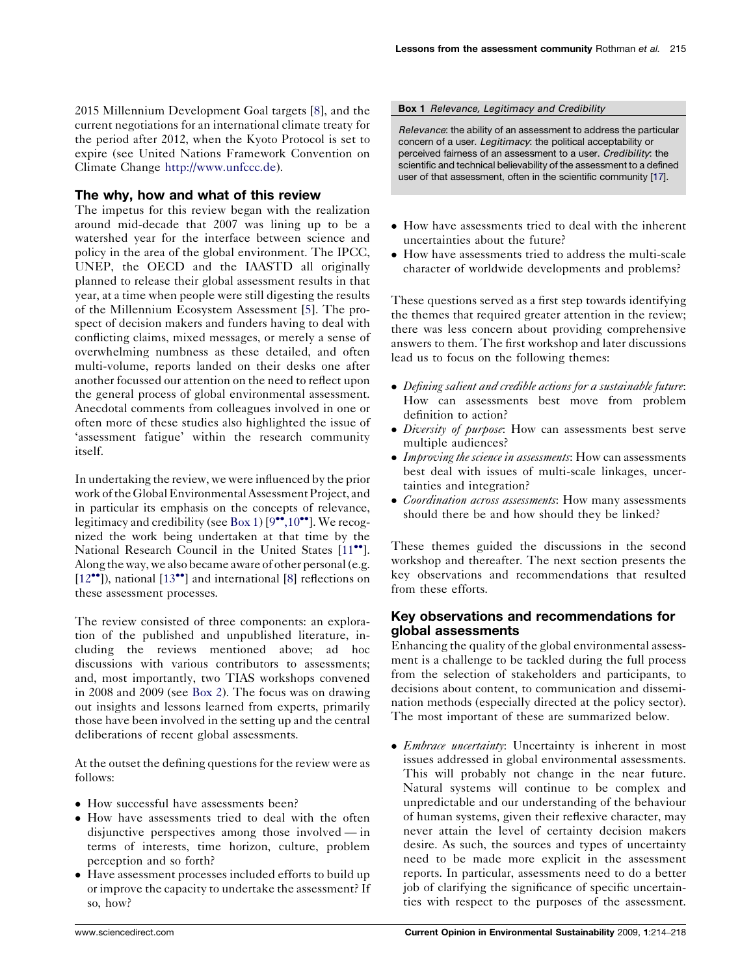2015 Millennium Development Goal targets [[8\]](#page-4-0), and the current negotiations for an international climate treaty for the period after 2012, when the Kyoto Protocol is set to expire (see United Nations Framework Convention on Climate Change [http://www.unfccc.de\)](http://www.unfccc.de/).

## The why, how and what of this review

The impetus for this review began with the realization around mid-decade that 2007 was lining up to be a watershed year for the interface between science and policy in the area of the global environment. The IPCC, UNEP, the OECD and the IAASTD all originally planned to release their global assessment results in that year, at a time when people were still digesting the results of the Millennium Ecosystem Assessment [\[5](#page-3-0)]. The prospect of decision makers and funders having to deal with conflicting claims, mixed messages, or merely a sense of overwhelming numbness as these detailed, and often multi-volume, reports landed on their desks one after another focussed our attention on the need to reflect upon the general process of global environmental assessment. Anecdotal comments from colleagues involved in one or often more of these studies also highlighted the issue of 'assessment fatigue' within the research community itself.

In undertaking the review, we were influenced by the prior work of the Global Environmental Assessment Project, and in particular its emphasis on the concepts of relevance, legitimacy and credibility (see Box 1)  $[9\bullet, 10\bullet]$  $[9\bullet, 10\bullet]$ . We recognized the work being undertaken at that time by the National Research Council in the United States [\[11](#page-4-0)<sup>\*</sup>]. Along the way, we also became aware of other personal (e.g. [\[12](#page-4-0)<sup>••</sup>]), national [[13](#page-4-0)<sup>••</sup>] and international [[8\]](#page-4-0) reflections on these assessment processes.

The review consisted of three components: an exploration of the published and unpublished literature, including the reviews mentioned above; ad hoc discussions with various contributors to assessments; and, most importantly, two TIAS workshops convened in 2008 and 2009 (see [Box 2\)](#page-2-0). The focus was on drawing out insights and lessons learned from experts, primarily those have been involved in the setting up and the central deliberations of recent global assessments.

At the outset the defining questions for the review were as follows:

- How successful have assessments been?
- How have assessments tried to deal with the often disjunctive perspectives among those involved — in terms of interests, time horizon, culture, problem perception and so forth?
- Have assessment processes included efforts to build up or improve the capacity to undertake the assessment? If so, how?

### Box 1 Relevance, Legitimacy and Credibility

Relevance: the ability of an assessment to address the particular concern of a user. Legitimacy: the political acceptability or perceived fairness of an assessment to a user. Credibility: the scientific and technical believability of the assessment to a defined user of that assessment, often in the scientific community [\[17\]](#page-4-0).

- How have assessments tried to deal with the inherent uncertainties about the future?
- How have assessments tried to address the multi-scale character of worldwide developments and problems?

These questions served as a first step towards identifying the themes that required greater attention in the review; there was less concern about providing comprehensive answers to them. The first workshop and later discussions lead us to focus on the following themes:

- Defining salient and credible actions for a sustainable future: How can assessments best move from problem definition to action?
- Diversity of purpose: How can assessments best serve multiple audiences?
- Improving the science in assessments: How can assessments best deal with issues of multi-scale linkages, uncertainties and integration?
- Coordination across assessments: How many assessments should there be and how should they be linked?

These themes guided the discussions in the second workshop and thereafter. The next section presents the key observations and recommendations that resulted from these efforts.

# Key observations and recommendations for global assessments

Enhancing the quality of the global environmental assessment is a challenge to be tackled during the full process from the selection of stakeholders and participants, to decisions about content, to communication and dissemination methods (especially directed at the policy sector). The most important of these are summarized below.

• *Embrace uncertainty*: Uncertainty is inherent in most issues addressed in global environmental assessments. This will probably not change in the near future. Natural systems will continue to be complex and unpredictable and our understanding of the behaviour of human systems, given their reflexive character, may never attain the level of certainty decision makers desire. As such, the sources and types of uncertainty need to be made more explicit in the assessment reports. In particular, assessments need to do a better job of clarifying the significance of specific uncertainties with respect to the purposes of the assessment.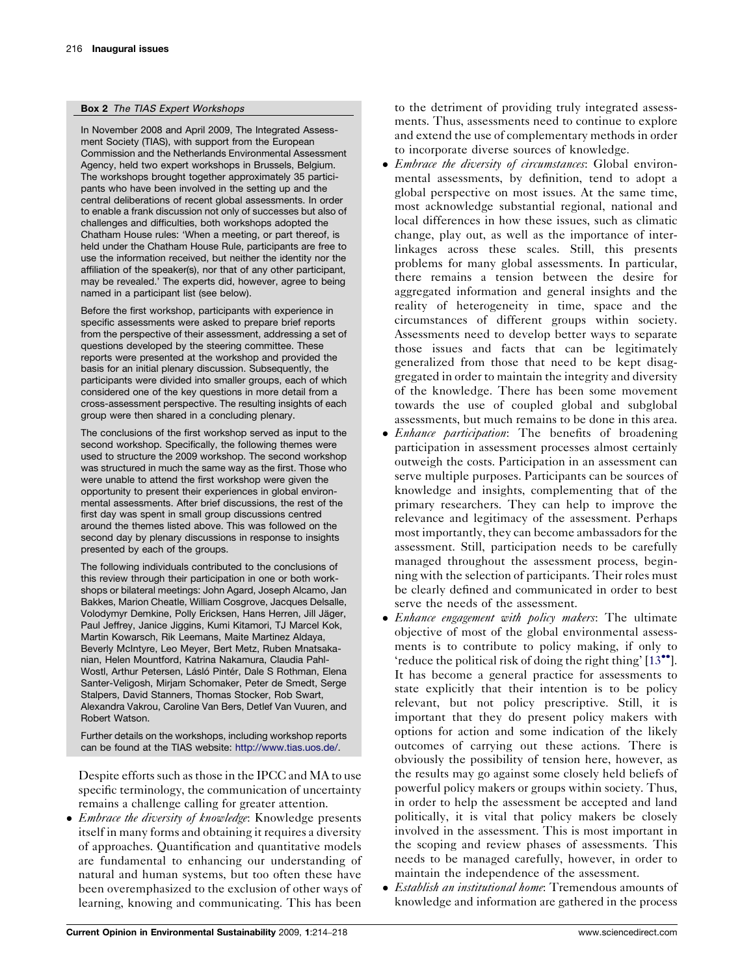### <span id="page-2-0"></span>Box 2 The TIAS Expert Workshops

In November 2008 and April 2009, The Integrated Assessment Society (TIAS), with support from the European Commission and the Netherlands Environmental Assessment Agency, held two expert workshops in Brussels, Belgium. The workshops brought together approximately 35 participants who have been involved in the setting up and the central deliberations of recent global assessments. In order to enable a frank discussion not only of successes but also of challenges and difficulties, both workshops adopted the Chatham House rules: 'When a meeting, or part thereof, is held under the Chatham House Rule, participants are free to use the information received, but neither the identity nor the affiliation of the speaker(s), nor that of any other participant, may be revealed.' The experts did, however, agree to being named in a participant list (see below).

Before the first workshop, participants with experience in specific assessments were asked to prepare brief reports from the perspective of their assessment, addressing a set of questions developed by the steering committee. These reports were presented at the workshop and provided the basis for an initial plenary discussion. Subsequently, the participants were divided into smaller groups, each of which considered one of the key questions in more detail from a cross-assessment perspective. The resulting insights of each group were then shared in a concluding plenary.

The conclusions of the first workshop served as input to the second workshop. Specifically, the following themes were used to structure the 2009 workshop. The second workshop was structured in much the same way as the first. Those who were unable to attend the first workshop were given the opportunity to present their experiences in global environmental assessments. After brief discussions, the rest of the first day was spent in small group discussions centred around the themes listed above. This was followed on the second day by plenary discussions in response to insights presented by each of the groups.

The following individuals contributed to the conclusions of this review through their participation in one or both workshops or bilateral meetings: John Agard, Joseph Alcamo, Jan Bakkes, Marion Cheatle, William Cosgrove, Jacques Delsalle, Volodymyr Demkine, Polly Ericksen, Hans Herren, Jill Jäger, Paul Jeffrey, Janice Jiggins, Kumi Kitamori, TJ Marcel Kok, Martin Kowarsch, Rik Leemans, Maite Martinez Aldaya, Beverly McIntyre, Leo Meyer, Bert Metz, Ruben Mnatsakanian, Helen Mountford, Katrina Nakamura, Claudia Pahl-Wostl, Arthur Petersen, Lásló Pintér, Dale S Rothman, Elena Santer-Veligosh, Mirjam Schomaker, Peter de Smedt, Serge Stalpers, David Stanners, Thomas Stocker, Rob Swart, Alexandra Vakrou, Caroline Van Bers, Detlef Van Vuuren, and Robert Watson.

Further details on the workshops, including workshop reports can be found at the TIAS website: [http://www.tias.uos.de/.](http://www.tias.uos.de/)

Despite efforts such as those in the IPCC and MA to use specific terminology, the communication of uncertainty remains a challenge calling for greater attention.

• Embrace the diversity of knowledge: Knowledge presents itself in many forms and obtaining it requires a diversity of approaches. Quantification and quantitative models are fundamental to enhancing our understanding of natural and human systems, but too often these have been overemphasized to the exclusion of other ways of learning, knowing and communicating. This has been to the detriment of providing truly integrated assessments. Thus, assessments need to continue to explore and extend the use of complementary methods in order to incorporate diverse sources of knowledge.

- Embrace the diversity of circumstances: Global environmental assessments, by definition, tend to adopt a global perspective on most issues. At the same time, most acknowledge substantial regional, national and local differences in how these issues, such as climatic change, play out, as well as the importance of interlinkages across these scales. Still, this presents problems for many global assessments. In particular, there remains a tension between the desire for aggregated information and general insights and the reality of heterogeneity in time, space and the circumstances of different groups within society. Assessments need to develop better ways to separate those issues and facts that can be legitimately generalized from those that need to be kept disaggregated in order to maintain the integrity and diversity of the knowledge. There has been some movement towards the use of coupled global and subglobal assessments, but much remains to be done in this area.
- Enhance participation: The benefits of broadening participation in assessment processes almost certainly outweigh the costs. Participation in an assessment can serve multiple purposes. Participants can be sources of knowledge and insights, complementing that of the primary researchers. They can help to improve the relevance and legitimacy of the assessment. Perhaps most importantly, they can become ambassadors for the assessment. Still, participation needs to be carefully managed throughout the assessment process, beginning with the selection of participants. Their roles must be clearly defined and communicated in order to best serve the needs of the assessment.
- Enhance engagement with policy makers: The ultimate objective of most of the global environmental assessments is to contribute to policy making, if only to 'reduce the political risk of doing the right thing' [\[13](#page-4-0)<sup>\*\*</sup>]. It has become a general practice for assessments to state explicitly that their intention is to be policy relevant, but not policy prescriptive. Still, it is important that they do present policy makers with options for action and some indication of the likely outcomes of carrying out these actions. There is obviously the possibility of tension here, however, as the results may go against some closely held beliefs of powerful policy makers or groups within society. Thus, in order to help the assessment be accepted and land politically, it is vital that policy makers be closely involved in the assessment. This is most important in the scoping and review phases of assessments. This needs to be managed carefully, however, in order to maintain the independence of the assessment.
- Establish an institutional home: Tremendous amounts of knowledge and information are gathered in the process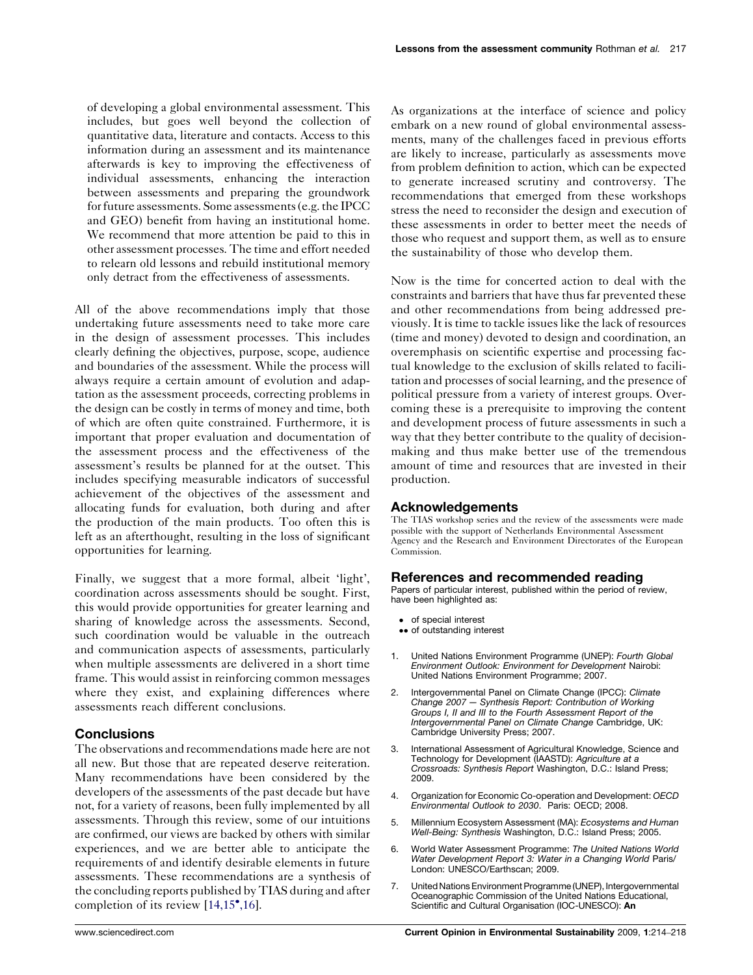<span id="page-3-0"></span>of developing a global environmental assessment. This includes, but goes well beyond the collection of quantitative data, literature and contacts. Access to this information during an assessment and its maintenance afterwards is key to improving the effectiveness of individual assessments, enhancing the interaction between assessments and preparing the groundwork for future assessments. Some assessments (e.g. the IPCC and GEO) benefit from having an institutional home. We recommend that more attention be paid to this in other assessment processes. The time and effort needed to relearn old lessons and rebuild institutional memory only detract from the effectiveness of assessments.

All of the above recommendations imply that those undertaking future assessments need to take more care in the design of assessment processes. This includes clearly defining the objectives, purpose, scope, audience and boundaries of the assessment. While the process will always require a certain amount of evolution and adaptation as the assessment proceeds, correcting problems in the design can be costly in terms of money and time, both of which are often quite constrained. Furthermore, it is important that proper evaluation and documentation of the assessment process and the effectiveness of the assessment's results be planned for at the outset. This includes specifying measurable indicators of successful achievement of the objectives of the assessment and allocating funds for evaluation, both during and after the production of the main products. Too often this is left as an afterthought, resulting in the loss of significant opportunities for learning.

Finally, we suggest that a more formal, albeit 'light', coordination across assessments should be sought. First, this would provide opportunities for greater learning and sharing of knowledge across the assessments. Second, such coordination would be valuable in the outreach and communication aspects of assessments, particularly when multiple assessments are delivered in a short time frame. This would assist in reinforcing common messages where they exist, and explaining differences where assessments reach different conclusions.

# **Conclusions**

The observations and recommendations made here are not all new. But those that are repeated deserve reiteration. Many recommendations have been considered by the developers of the assessments of the past decade but have not, for a variety of reasons, been fully implemented by all assessments. Through this review, some of our intuitions are confirmed, our views are backed by others with similar experiences, and we are better able to anticipate the requirements of and identify desirable elements in future assessments. These recommendations are a synthesis of the concluding reports published by TIAS during and after completion of its review  $[14, 15^{\bullet}, 16]$ .

As organizations at the interface of science and policy embark on a new round of global environmental assessments, many of the challenges faced in previous efforts are likely to increase, particularly as assessments move from problem definition to action, which can be expected to generate increased scrutiny and controversy. The recommendations that emerged from these workshops stress the need to reconsider the design and execution of these assessments in order to better meet the needs of those who request and support them, as well as to ensure the sustainability of those who develop them.

Now is the time for concerted action to deal with the constraints and barriers that have thus far prevented these and other recommendations from being addressed previously. It is time to tackle issues like the lack of resources (time and money) devoted to design and coordination, an overemphasis on scientific expertise and processing factual knowledge to the exclusion of skills related to facilitation and processes of social learning, and the presence of political pressure from a variety of interest groups. Overcoming these is a prerequisite to improving the content and development process of future assessments in such a way that they better contribute to the quality of decisionmaking and thus make better use of the tremendous amount of time and resources that are invested in their production.

# Acknowledgements

The TIAS workshop series and the review of the assessments were made possible with the support of Netherlands Environmental Assessment Agency and the Research and Environment Directorates of the European Commission.

### References and recommended reading

Papers of particular interest, published within the period of review, have been highlighted as:

- of special interest
- •• of outstanding interest
- 1. United Nations Environment Programme (UNEP): Fourth Global Environment Outlook: Environment for Development Nairobi: United Nations Environment Programme; 2007.
- 2. Intergovernmental Panel on Climate Change (IPCC): Climate Change 2007 — Synthesis Report: Contribution of Working Groups I, II and III to the Fourth Assessment Report of the Intergovernmental Panel on Climate Change Cambridge, UK: Cambridge University Press; 2007.
- 3. International Assessment of Agricultural Knowledge, Science and Technology for Development (IAASTD): Agriculture at a Crossroads: Synthesis Report Washington, D.C.: Island Press; 2009.
- 4. Organization for Economic Co-operation and Development: OECD Environmental Outlook to 2030. Paris: OECD; 2008.
- 5. Millennium Ecosystem Assessment (MA): Ecosystems and Human Well-Being: Synthesis Washington, D.C.: Island Press; 2005.
- 6. World Water Assessment Programme: The United Nations World World Water Nessetthern 113 Franker in a Changing World Paris/ London: UNESCO/Earthscan; 2009.
- 7. United Nations Environment Programme (UNEP), Intergovernmental Oceanographic Commission of the United Nations Educational, Scientific and Cultural Organisation (IOC-UNESCO): An